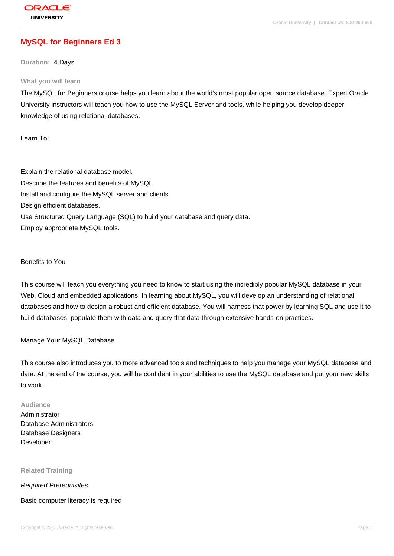# **[MySQL for Beg](http://education.oracle.com/pls/web_prod-plq-dad/db_pages.getpage?page_id=3)inners Ed 3**

#### **Duration:** 4 Days

#### **What you will learn**

The MySQL for Beginners course helps you learn about the world's most popular open source database. Expert Oracle University instructors will teach you how to use the MySQL Server and tools, while helping you develop deeper knowledge of using relational databases.

Learn To:

Explain the relational database model. Describe the features and benefits of MySQL. Install and configure the MySQL server and clients. Design efficient databases. Use Structured Query Language (SQL) to build your database and query data. Employ appropriate MySQL tools.

Benefits to You

This course will teach you everything you need to know to start using the incredibly popular MySQL database in your Web, Cloud and embedded applications. In learning about MySQL, you will develop an understanding of relational databases and how to design a robust and efficient database. You will harness that power by learning SQL and use it to build databases, populate them with data and query that data through extensive hands-on practices.

#### Manage Your MySQL Database

This course also introduces you to more advanced tools and techniques to help you manage your MySQL database and data. At the end of the course, you will be confident in your abilities to use the MySQL database and put your new skills to work.

#### **Audience**

Administrator Database Administrators Database Designers Developer

#### **Related Training**

Required Prerequisites

Basic computer literacy is required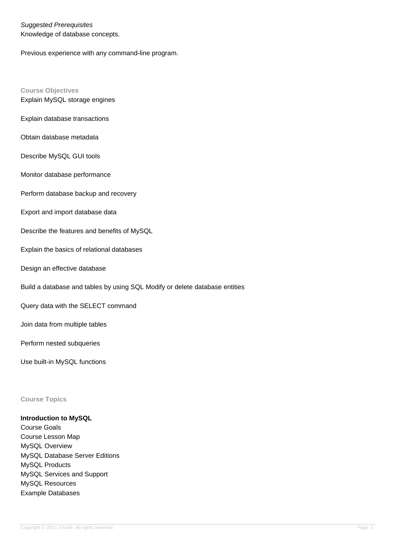Suggested Prerequisites Knowledge of database concepts.

Previous experience with any command-line program.

**Course Objectives** Explain MySQL storage engines

Explain database transactions

Obtain database metadata

Describe MySQL GUI tools

Monitor database performance

Perform database backup and recovery

Export and import database data

Describe the features and benefits of MySQL

Explain the basics of relational databases

Design an effective database

Build a database and tables by using SQL Modify or delete database entities

Query data with the SELECT command

Join data from multiple tables

Perform nested subqueries

Use built-in MySQL functions

**Course Topics**

#### **Introduction to MySQL**

Course Goals Course Lesson Map MySQL Overview MySQL Database Server Editions MySQL Products MySQL Services and Support MySQL Resources Example Databases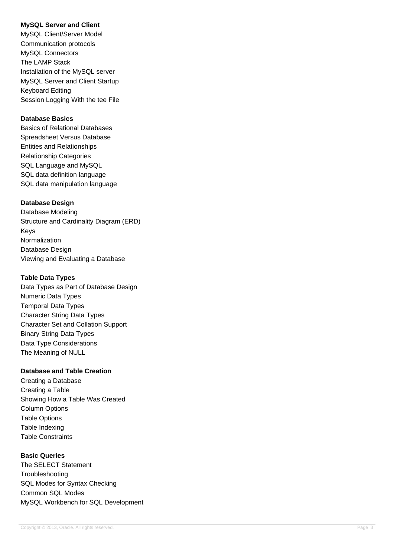## **MySQL Server and Client**

MySQL Client/Server Model Communication protocols MySQL Connectors The LAMP Stack Installation of the MySQL server MySQL Server and Client Startup Keyboard Editing Session Logging With the tee File

#### **Database Basics**

Basics of Relational Databases Spreadsheet Versus Database Entities and Relationships Relationship Categories SQL Language and MySQL SQL data definition language SQL data manipulation language

## **Database Design**

Database Modeling Structure and Cardinality Diagram (ERD) Keys Normalization Database Design Viewing and Evaluating a Database

#### **Table Data Types**

Data Types as Part of Database Design Numeric Data Types Temporal Data Types Character String Data Types Character Set and Collation Support Binary String Data Types Data Type Considerations The Meaning of NULL

## **Database and Table Creation**

Creating a Database Creating a Table Showing How a Table Was Created Column Options Table Options Table Indexing Table Constraints

## **Basic Queries**

The SELECT Statement **Troubleshooting** SQL Modes for Syntax Checking Common SQL Modes MySQL Workbench for SQL Development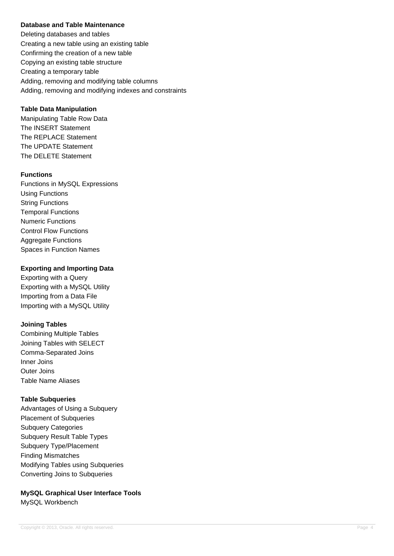## **Database and Table Maintenance**

Deleting databases and tables Creating a new table using an existing table Confirming the creation of a new table Copying an existing table structure Creating a temporary table Adding, removing and modifying table columns Adding, removing and modifying indexes and constraints

#### **Table Data Manipulation**

Manipulating Table Row Data The INSERT Statement The REPLACE Statement The UPDATE Statement The DELETE Statement

#### **Functions**

Functions in MySQL Expressions Using Functions String Functions Temporal Functions Numeric Functions Control Flow Functions Aggregate Functions Spaces in Function Names

#### **Exporting and Importing Data**

Exporting with a Query Exporting with a MySQL Utility Importing from a Data File Importing with a MySQL Utility

## **Joining Tables**

Combining Multiple Tables Joining Tables with SELECT Comma-Separated Joins Inner Joins Outer Joins Table Name Aliases

## **Table Subqueries**

Advantages of Using a Subquery Placement of Subqueries Subquery Categories Subquery Result Table Types Subquery Type/Placement Finding Mismatches Modifying Tables using Subqueries Converting Joins to Subqueries

**MySQL Graphical User Interface Tools** MySQL Workbench